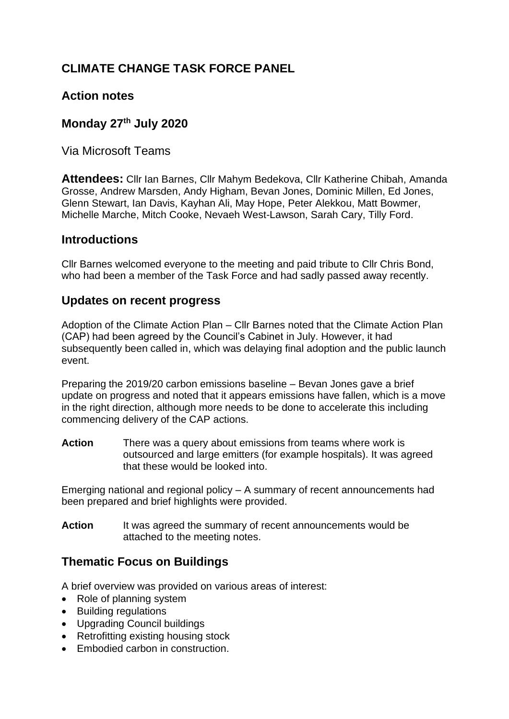## **CLIMATE CHANGE TASK FORCE PANEL**

## **Action notes**

## **Monday 27th July 2020**

Via Microsoft Teams

**Attendees:** Cllr Ian Barnes, Cllr Mahym Bedekova, Cllr Katherine Chibah, Amanda Grosse, Andrew Marsden, Andy Higham, Bevan Jones, Dominic Millen, Ed Jones, Glenn Stewart, Ian Davis, Kayhan Ali, May Hope, Peter Alekkou, Matt Bowmer, Michelle Marche, Mitch Cooke, Nevaeh West-Lawson, Sarah Cary, Tilly Ford.

### **Introductions**

Cllr Barnes welcomed everyone to the meeting and paid tribute to Cllr Chris Bond, who had been a member of the Task Force and had sadly passed away recently.

### **Updates on recent progress**

Adoption of the Climate Action Plan – Cllr Barnes noted that the Climate Action Plan (CAP) had been agreed by the Council's Cabinet in July. However, it had subsequently been called in, which was delaying final adoption and the public launch event.

Preparing the 2019/20 carbon emissions baseline – Bevan Jones gave a brief update on progress and noted that it appears emissions have fallen, which is a move in the right direction, although more needs to be done to accelerate this including commencing delivery of the CAP actions.

**Action** There was a query about emissions from teams where work is outsourced and large emitters (for example hospitals). It was agreed that these would be looked into.

Emerging national and regional policy – A summary of recent announcements had been prepared and brief highlights were provided.

**Action** It was agreed the summary of recent announcements would be attached to the meeting notes.

## **Thematic Focus on Buildings**

A brief overview was provided on various areas of interest:

- Role of planning system
- Building regulations
- Upgrading Council buildings
- Retrofitting existing housing stock
- **Embodied carbon in construction**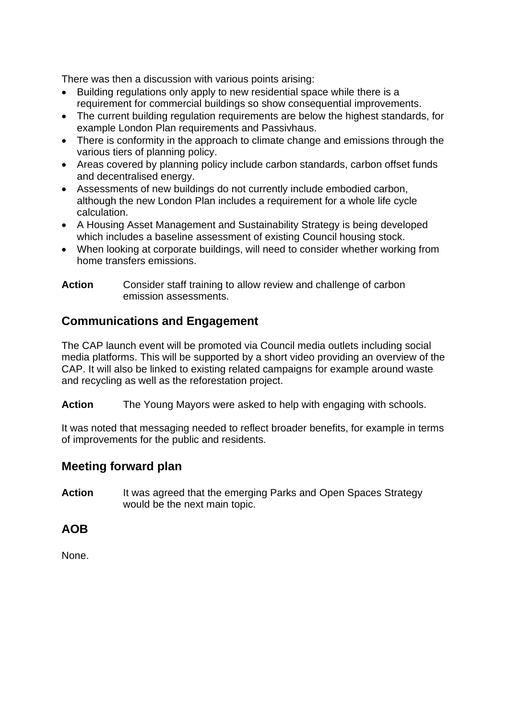There was then a discussion with various points arising:

- Building regulations only apply to new residential space while there is a requirement for commercial buildings so show consequential improvements.
- The current building regulation requirements are below the highest standards, for example London Plan requirements and Passivhaus.
- There is conformity in the approach to climate change and emissions through the various tiers of planning policy.
- Areas covered by planning policy include carbon standards, carbon offset funds and decentralised energy.
- Assessments of new buildings do not currently include embodied carbon, although the new London Plan includes a requirement for a whole life cycle calculation.
- A Housing Asset Management and Sustainability Strategy is being developed which includes a baseline assessment of existing Council housing stock.
- When looking at corporate buildings, will need to consider whether working from home transfers emissions.

#### **Action** Consider staff training to allow review and challenge of carbon emission assessments.

## **Communications and Engagement**

The CAP launch event will be promoted via Council media outlets including social media platforms. This will be supported by a short video providing an overview of the CAP. It will also be linked to existing related campaigns for example around waste and recycling as well as the reforestation project.

**Action** The Young Mayors were asked to help with engaging with schools.

It was noted that messaging needed to reflect broader benefits, for example in terms of improvements for the public and residents.

## **Meeting forward plan**

**Action** It was agreed that the emerging Parks and Open Spaces Strategy would be the next main topic.

## **AOB**

None.